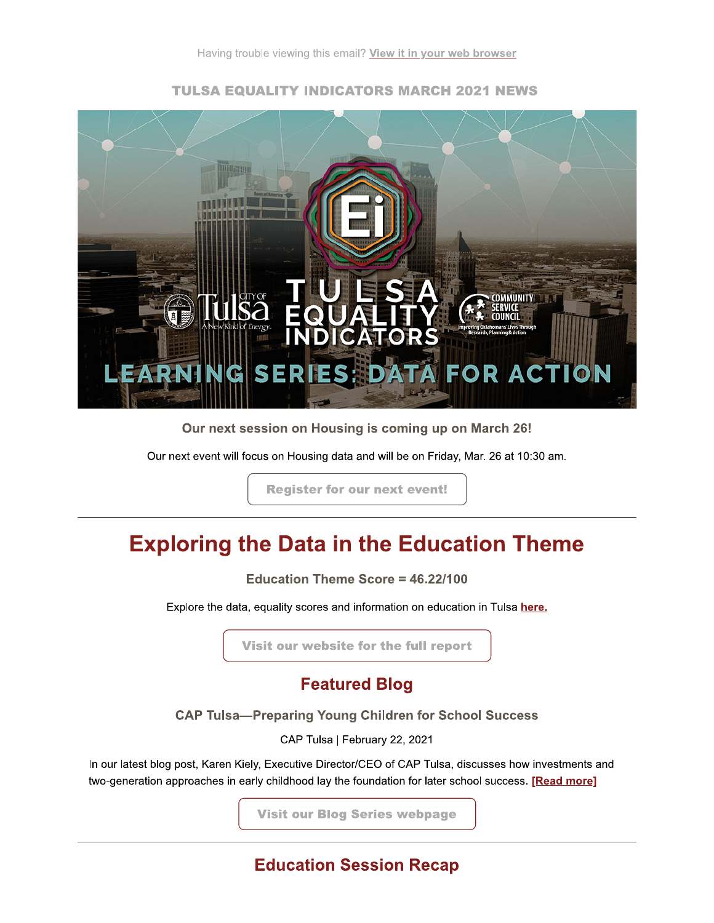

### **TULSA EQUALITY INDICATORS MARCH 2021 NEWS**

Our next session on Housing is coming up on March 26!

Our next event will focus on Housing data and will be on Friday, Mar. 26 at 10:30 am.

**Register for our next event!** 

# **Exploring the Data in the Education Theme**

Education Theme Score = 46.22/100

Explore the data, equality scores and information on education in Tulsa here.

Visit our website for the full report

# **Featured Blog**

**CAP Tulsa-Preparing Young Children for School Success** 

CAP Tulsa | February 22, 2021

In our latest blog post, Karen Kiely, Executive Director/CEO of CAP Tulsa, discusses how investments and two-generation approaches in early childhood lay the foundation for later school success. [Read more]

**Visit our Blog Series webpage** 

**Education Session Recap**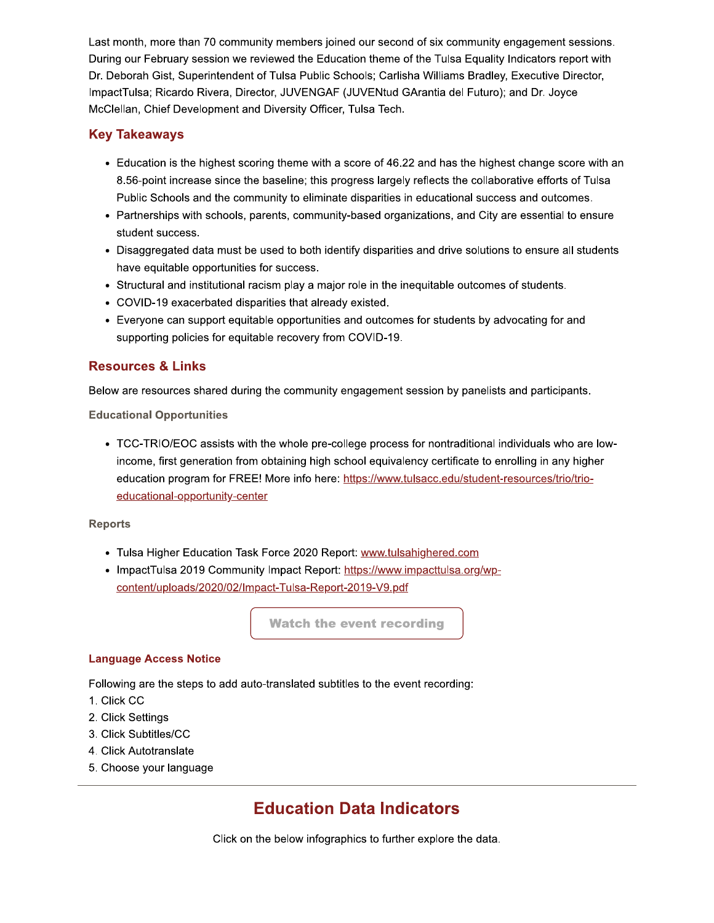Last month, more than 70 community members joined our second of six community engagement sessions. During our February session we reviewed the Education theme of the Tulsa Equality Indicators report with Dr. Deborah Gist, Superintendent of Tulsa Public Schools; Carlisha Williams Bradley, Executive Director, ImpactTulsa; Ricardo Rivera, Director, JUVENGAF (JUVENtud GArantia del Futuro); and Dr. Joyce McClellan, Chief Development and Diversity Officer, Tulsa Tech.

### **Key Takeaways**

- Education is the highest scoring theme with a score of 46.22 and has the highest change score with an 8.56-point increase since the baseline; this progress largely reflects the collaborative efforts of Tulsa Public Schools and the community to eliminate disparities in educational success and outcomes.
- Partnerships with schools, parents, community-based organizations, and City are essential to ensure student success.
- Disaggregated data must be used to both identify disparities and drive solutions to ensure all students have equitable opportunities for success.
- Structural and institutional racism play a major role in the inequitable outcomes of students.
- COVID-19 exacerbated disparities that already existed.
- Everyone can support equitable opportunities and outcomes for students by advocating for and supporting policies for equitable recovery from COVID-19.

### **Resources & Links**

Below are resources shared during the community engagement session by panelists and participants.

**Educational Opportunities** 

• TCC-TRIO/EOC assists with the whole pre-college process for nontraditional individuals who are lowincome, first generation from obtaining high school equivalency certificate to enrolling in any higher education program for FREE! More info here: https://www.tulsacc.edu/student-resources/trio/trioeducational-opportunity-center

#### **Reports**

- Tulsa Higher Education Task Force 2020 Report: www.tulsahighered.com
- ImpactTulsa 2019 Community Impact Report: https://www.impacttulsa.org/wpcontent/uploads/2020/02/Impact-Tulsa-Report-2019-V9.pdf

**Watch the event recording** 

#### **Language Access Notice**

Following are the steps to add auto-translated subtitles to the event recording:

- 1. Click CC
- 2. Click Settings
- 3. Click Subtitles/CC
- 4. Click Autotranslate
- 5. Choose your language

# **Education Data Indicators**

Click on the below infographics to further explore the data.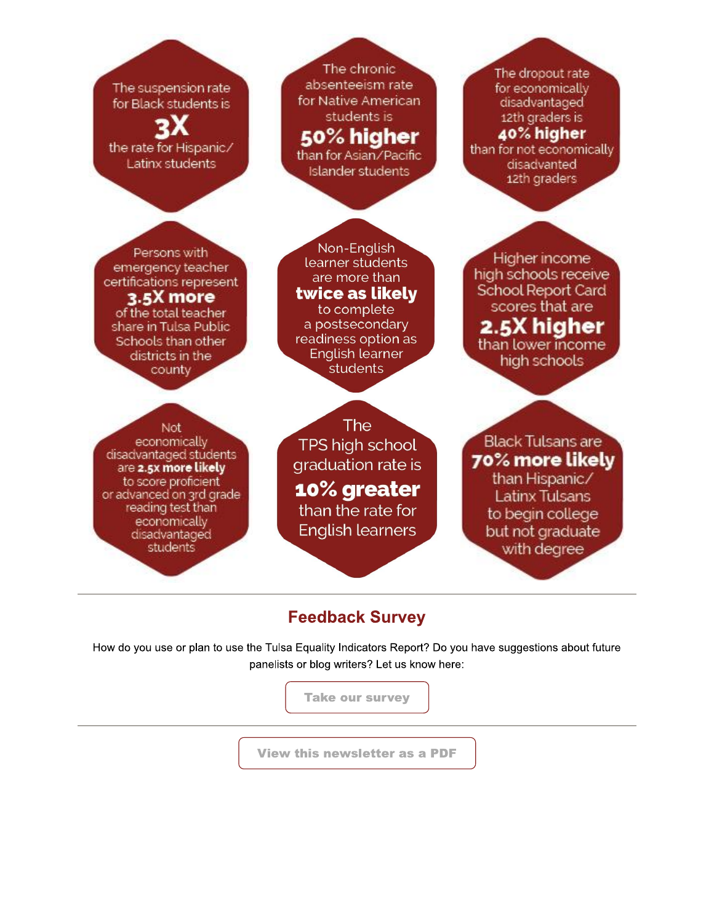The suspension rate for Black students is

the rate for Hispanic/ Latinx students

The chronic absenteeism rate for Native American students is 50% higher

than for Asian/Pacific Islander students

The dropout rate for economically disadvantaged 12th graders is 40% higher than for not economically disadvanted 12th graders

Persons with emergency teacher certifications represent 3.5X more of the total teacher share in Tulsa Public Schools than other districts in the county

Non-English learner students are more than twice as likely to complete a postsecondary readiness option as **English learner** students

Higher income high schools receive School Report Card scores that are 2.5X hiaher than lower income high schools

Not

economically disadvantaged students are 2.5x more likely to score proficient or advanced on 3rd grade reading test than economically disadvantaged students

The **TPS high school** graduation rate is 10% greater than the rate for **English learners** 

**Black Tulsans are** 70% more likely than Hispanic/ Latinx Tulsans to begin college

but not graduate with degree

## **Feedback Survey**

How do you use or plan to use the Tulsa Equality Indicators Report? Do you have suggestions about future panelists or blog writers? Let us know here:



**View this newsletter as a PDF**